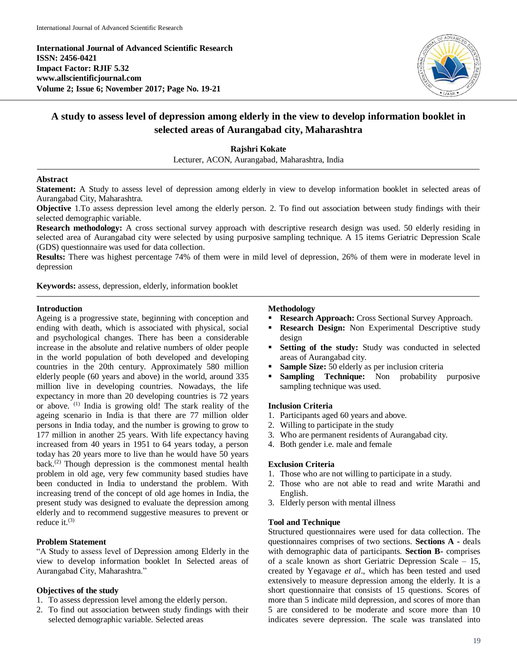**International Journal of Advanced Scientific Research ISSN: 2456-0421 Impact Factor: RJIF 5.32 www.allscientificjournal.com Volume 2; Issue 6; November 2017; Page No. 19-21**



# **A study to assess level of depression among elderly in the view to develop information booklet in selected areas of Aurangabad city, Maharashtra**

## **Rajshri Kokate**

Lecturer, ACON, Aurangabad, Maharashtra, India

#### **Abstract**

**Statement:** A Study to assess level of depression among elderly in view to develop information booklet in selected areas of Aurangabad City, Maharashtra.

**Objective** 1.To assess depression level among the elderly person. 2. To find out association between study findings with their selected demographic variable.

**Research methodology:** A cross sectional survey approach with descriptive research design was used. 50 elderly residing in selected area of Aurangabad city were selected by using purposive sampling technique. A 15 items Geriatric Depression Scale (GDS) questionnaire was used for data collection.

**Results:** There was highest percentage 74% of them were in mild level of depression, 26% of them were in moderate level in depression

**Keywords:** assess, depression, elderly, information booklet

## **Introduction**

Ageing is a progressive state, beginning with conception and ending with death, which is associated with physical, social and psychological changes. There has been a considerable increase in the absolute and relative numbers of older people in the world population of both developed and developing countries in the 20th century. Approximately 580 million elderly people (60 years and above) in the world, around 335 million live in developing countries. Nowadays, the life expectancy in more than 20 developing countries is 72 years or above. (1) India is growing old! The stark reality of the ageing scenario in India is that there are 77 million older persons in India today, and the number is growing to grow to 177 million in another 25 years. With life expectancy having increased from 40 years in 1951 to 64 years today, a person today has 20 years more to live than he would have 50 years back.(2) Though depression is the commonest mental health problem in old age, very few community based studies have been conducted in India to understand the problem. With increasing trend of the concept of old age homes in India, the present study was designed to evaluate the depression among elderly and to recommend suggestive measures to prevent or reduce it. $(3)$ 

## **Problem Statement**

"A Study to assess level of Depression among Elderly in the view to develop information booklet In Selected areas of Aurangabad City, Maharashtra."

## **Objectives of the study**

- 1. To assess depression level among the elderly person.
- 2. To find out association between study findings with their selected demographic variable. Selected areas

### **Methodology**

- **Research Approach:** Cross Sectional Survey Approach.
- **Research Design:** Non Experimental Descriptive study design
- **Setting of the study:** Study was conducted in selected areas of Aurangabad city.
- **Sample Size:** 50 elderly as per inclusion criteria
- **Sampling Technique:** Non probability purposive sampling technique was used.

#### **Inclusion Criteria**

- 1. Participants aged 60 years and above.
- 2. Willing to participate in the study
- 3. Who are permanent residents of Aurangabad city.
- 4. Both gender i.e. male and female

#### **Exclusion Criteria**

- 1. Those who are not willing to participate in a study.
- 2. Those who are not able to read and write Marathi and English.
- 3. Elderly person with mental illness

#### **Tool and Technique**

Structured questionnaires were used for data collection. The questionnaires comprises of two sections. **Sections A -** deals with demographic data of participants. **Section B-** comprises of a scale known as short Geriatric Depression Scale – 15, created by Yegavage *et al*., which has been tested and used extensively to measure depression among the elderly. It is a short questionnaire that consists of 15 questions. Scores of more than 5 indicate mild depression, and scores of more than 5 are considered to be moderate and score more than 10 indicates severe depression. The scale was translated into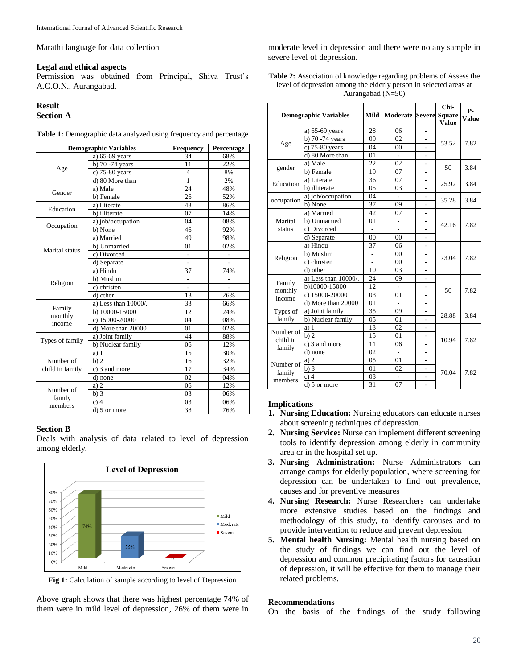Marathi language for data collection

#### **Legal and ethical aspects**

Permission was obtained from Principal, Shiva Trust's A.C.O.N., Aurangabad.

## **Result**

#### **Section A**

| <b>Demographic Variables</b>   |                         | <b>Frequency</b> | Percentage |  |
|--------------------------------|-------------------------|------------------|------------|--|
| Age                            | a) 65-69 years          | 34               | 68%        |  |
|                                | b) 70 -74 years         | 11               | 22%        |  |
|                                | c) 75-80 years          | 4                | 8%         |  |
|                                | d) 80 More than         | 1                | 2%         |  |
| Gender                         | a) Male                 | 24               | 48%        |  |
|                                | b) Female               | 26               | 52%        |  |
| Education                      | a) Literate             | 43               | 86%        |  |
|                                | b) illiterate           | 07               | 14%        |  |
| Occupation                     | a) job/occupation       | 04               | 08%        |  |
|                                | b) None                 | 46               | 92%        |  |
| Marital status                 | a) Married              | 49               | 98%        |  |
|                                | b) Unmarried            | 01               | 02%        |  |
|                                | c) Divorced             | $\overline{a}$   |            |  |
|                                | d) Separate             |                  |            |  |
| Religion                       | a) Hindu                | 37               | 74%        |  |
|                                | b) Muslim               |                  |            |  |
|                                | c) christen             |                  |            |  |
|                                | d) other                | 13               | 26%        |  |
|                                | a) Less than $10000/$ . | 33               | 66%        |  |
| Family                         | b) 10000-15000          | 12               | 24%        |  |
| monthly<br>income              | c) 15000-20000          | 04               | 08%        |  |
|                                | d) More than 20000      | 01               | 02%        |  |
|                                | a) Joint family         | 44               | 88%        |  |
| Types of family                | b) Nuclear family       | 06               | 12%        |  |
|                                | a)1                     | 15               | 30%        |  |
| Number of                      | b)2                     | 16               | 32%        |  |
| child in family                | $c)$ 3 and more         | 17               | 34%        |  |
|                                | d) none                 | 02               | 04%        |  |
| Number of<br>family<br>members | a) 2                    | 06               | 12%        |  |
|                                | b)3                     | 03               | 06%        |  |
|                                | $c)$ 4                  | 03               | 06%        |  |
|                                | $d)$ 5 or more          | 38               | 76%        |  |

Table 1: Demographic data analyzed using frequency and percentage

#### **Section B**

Deals with analysis of data related to level of depression among elderly.



**Fig 1:** Calculation of sample according to level of Depression

Above graph shows that there was highest percentage 74% of them were in mild level of depression, 26% of them were in

moderate level in depression and there were no any sample in severe level of depression.

**Table 2:** Association of knowledge regarding problems of Assess the level of depression among the elderly person in selected areas at Aurangabad (N=50)

| <b>Demographic Variables</b>    |                               | Mild           | <b>Moderate Severe Square</b> |                          | Chi-<br><b>Value</b> | <b>P-</b><br><b>Value</b> |
|---------------------------------|-------------------------------|----------------|-------------------------------|--------------------------|----------------------|---------------------------|
| Age                             | a) 65-69 years                | 28             | 06                            | $\overline{a}$           |                      | 7.82                      |
|                                 | $\overline{b}$ ) 70 -74 years | 09             | 02                            |                          | 53.52                |                           |
|                                 | c) 75-80 years                | 04             | 0 <sub>0</sub>                |                          |                      |                           |
|                                 | d) 80 More than               | 0 <sub>1</sub> |                               | $\overline{a}$           |                      |                           |
| gender                          | a) Male                       | 22             | 0 <sub>2</sub>                | $\overline{a}$           | 50                   | 3.84                      |
|                                 | b) Female                     | 19             | 07                            | $\overline{a}$           |                      |                           |
| Education                       | a) Literate                   | 36             | 07                            | $\overline{a}$           | 25.92                | 3.84                      |
|                                 | b) illiterate                 | 05             | 03                            | $\overline{a}$           |                      |                           |
| occupation                      | a) job/occupation             | 04             | $\overline{a}$                | $\overline{\phantom{0}}$ | 35.28                | 3.84                      |
|                                 | b) None                       | 37             | 09                            |                          |                      |                           |
| Marital<br>status               | a) Married                    | 42             | 07                            |                          | 42.16                | 7.82                      |
|                                 | b) Unmarried                  | 01             |                               |                          |                      |                           |
|                                 | c) Divorced                   |                |                               |                          |                      |                           |
|                                 | d) Separate                   | 00             | 0 <sub>0</sub>                |                          |                      |                           |
| Religion                        | a) Hindu                      | 37             | 06                            |                          |                      | 7.82                      |
|                                 | b) Muslim                     | ٠              | 00                            | $\overline{a}$           | 73.04                |                           |
|                                 | c) christen                   | L.             | 00                            | ÷,                       |                      |                           |
|                                 | d) other                      | 10             | 03                            |                          |                      |                           |
| Family<br>monthly<br>income     | a) Less than $10000/$ .       | 24             | 09                            |                          |                      | 7.82                      |
|                                 | b)10000-15000                 | 12             |                               | $\overline{a}$           | 50                   |                           |
|                                 | c) 15000-20000                | 03             | 0 <sub>1</sub>                | $\overline{a}$           |                      |                           |
|                                 | d) More than 20000            | 01             |                               | $\overline{a}$           |                      |                           |
| Types of<br>family              | a) Joint family               | 35             | 09                            | $\overline{\phantom{0}}$ | 28.88                | 3.84                      |
|                                 | b) Nuclear family             | 05             | 01                            | $\overline{a}$           |                      |                           |
| Number of<br>child in<br>family | 1<br>a)                       | 13             | 02                            | $\overline{a}$           |                      | 7.82                      |
|                                 | $h$ ) 2                       | 15             | 01                            |                          | 10.94                |                           |
|                                 | c) 3 and more                 | 11             | 06                            |                          |                      |                           |
|                                 | d) none                       | 02             |                               |                          |                      |                           |
| Number of<br>family<br>members  | $\overline{2}$<br>a)          | 05             | 01                            | $\overline{a}$           |                      | 7.82                      |
|                                 | b)3                           | 01             | 0 <sub>2</sub>                |                          | 70.04                |                           |
|                                 | $\overline{4}$<br>c)          | 03             |                               |                          |                      |                           |
|                                 | d) 5 or more                  | 31             | 07                            | $\overline{a}$           |                      |                           |

## **Implications**

- **1. Nursing Education:** Nursing educators can educate nurses about screening techniques of depression.
- **2. Nursing Service:** Nurse can implement different screening tools to identify depression among elderly in community area or in the hospital set up.
- **3. Nursing Administration:** Nurse Administrators can arrange camps for elderly population, where screening for depression can be undertaken to find out prevalence, causes and for preventive measures
- **4. Nursing Research:** Nurse Researchers can undertake more extensive studies based on the findings and methodology of this study, to identify carouses and to provide intervention to reduce and prevent depression
- **5. Mental health Nursing:** Mental health nursing based on the study of findings we can find out the level of depression and common precipitating factors for causation of depression, it will be effective for them to manage their related problems.

#### **Recommendations**

On the basis of the findings of the study following